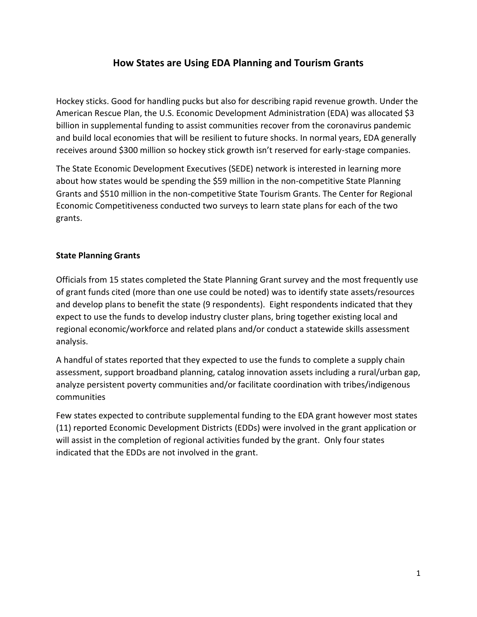## **How States are Using EDA Planning and Tourism Grants**

Hockey sticks. Good for handling pucks but also for describing rapid revenue growth. Under the American Rescue Plan, the U.S. Economic Development Administration (EDA) was allocated \$3 billion in supplemental funding to assist communities recover from the coronavirus pandemic and build local economies that will be resilient to future shocks. In normal years, EDA generally receives around \$300 million so hockey stick growth isn't reserved for early-stage companies.

The State Economic Development Executives (SEDE) network is interested in learning more about how states would be spending the \$59 million in the non-competitive State Planning Grants and \$510 million in the non-competitive State Tourism Grants. The Center for Regional Economic Competitiveness conducted two surveys to learn state plans for each of the two grants.

## **State Planning Grants**

Officials from 15 states completed the State Planning Grant survey and the most frequently use of grant funds cited (more than one use could be noted) was to identify state assets/resources and develop plans to benefit the state (9 respondents). Eight respondents indicated that they expect to use the funds to develop industry cluster plans, bring together existing local and regional economic/workforce and related plans and/or conduct a statewide skills assessment analysis.

A handful of states reported that they expected to use the funds to complete a supply chain assessment, support broadband planning, catalog innovation assets including a rural/urban gap, analyze persistent poverty communities and/or facilitate coordination with tribes/indigenous communities

Few states expected to contribute supplemental funding to the EDA grant however most states (11) reported Economic Development Districts (EDDs) were involved in the grant application or will assist in the completion of regional activities funded by the grant. Only four states indicated that the EDDs are not involved in the grant.